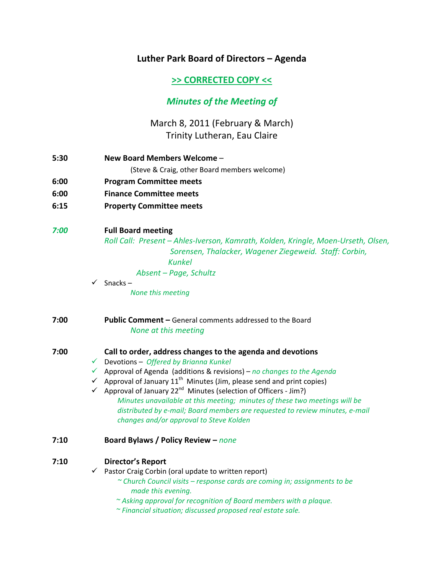# **Luther Park Board of Directors – Agenda**

# **>> CORRECTED COPY <<**

# *Minutes of the Meeting of*

# March 8, 2011 (February & March) Trinity Lutheran, Eau Claire

- **5:30 New Board Members Welcome** (Steve & Craig, other Board members welcome)
- **6:00 Program Committee meets**
- **6:00 Finance Committee meets**
- **6:15 Property Committee meets**

## *7:00* **Full Board meeting**

 *Roll Call: Present – Ahles‐Iverson, Kamrath, Kolden, Kringle, Moen‐Urseth, Olsen, Sorensen, Thalacker, Wagener Ziegeweid. Staff: Corbin, Kunkel Absent – Page, Schultz*

 $\checkmark$  Snacks –

*None this meeting*

## **7:00 Public Comment –** General comments addressed to the Board  *None at this meeting*

## **7:00 Call to order, address changes to the agenda and devotions**

- 9 Devotions *Offered by Brianna Kunkel*
- 9 Approval of Agenda (additions & revisions) *no changes to the Agenda*
- $\checkmark$  Approval of January 11<sup>th</sup> Minutes (Jim, please send and print copies)
- ◆ Approval of January 22<sup>nd</sup> Minutes (selection of Officers Jim?) *Minutes unavailable at this meeting; minutes of these two meetings will be distributed by e‐mail; Board members are requested to review minutes, e‐mail changes and/or approval to Steve Kolden*

## **7:10 Board Bylaws / Policy Review –** *none*

## **7:10 Director's Report**

- $\checkmark$  Pastor Craig Corbin (oral update to written report)
	- *~ Church Council visits – response cards are coming in; assignments to be made this evening.*
	- *~ Asking approval for recognition of Board members with a plaque.*
	- *~ Financial situation; discussed proposed real estate sale.*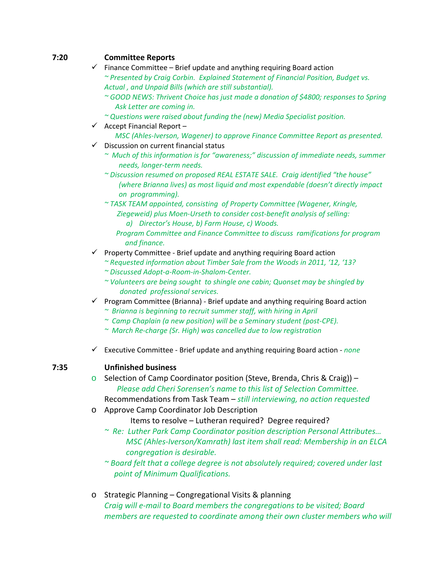# **7:20 Committee Reports**

- $\checkmark$  Finance Committee Brief update and anything requiring Board action *~ Presented by Craig Corbin. Explained Statement of Financial Position, Budget vs. Actual , and Unpaid Bills (which are still substantial).* 
	- *~ GOOD NEWS: Thrivent Choice has just made a donation of \$4800; responses to Spring Ask Letter are coming in.*
	- *~ Questions were raised about funding the (new) Media Specialist position.*
- $\checkmark$  Accept Financial Report
	- *MSC (Ahles‐Iverson, Wagener) to approve Finance Committee Report as presented.*
- $\checkmark$  Discussion on current financial status
	- *~ Much of this information is for "awareness;" discussion of immediate needs, summer needs, longer‐term needs.*
	- *~ Discussion resumed on proposed REAL ESTATE SALE. Craig identified "the house" (where Brianna lives) as most liquid and most expendable (doesn't directly impact on programming).*
	- *~ TASK TEAM appointed, consisting of Property Committee (Wagener, Kringle, Ziegeweid) plus Moen‐Urseth to consider cost‐benefit analysis of selling:* 
		- *a) Director's House, b) Farm House, c) Woods.*
		- *Program Committee and Finance Committee to discuss ramifications for program and finance.*
- $\checkmark$  Property Committee Brief update and anything requiring Board action
	- *~ Requested information about Timber Sale from the Woods in 2011, '12, '13? ~ Discussed Adopt‐a‐Room‐in‐Shalom‐Center.*
	- *~ Volunteers are being sought to shingle one cabin; Quonset may be shingled by donated professional services.*
- $\checkmark$  Program Committee (Brianna) Brief update and anything requiring Board action *~ Brianna is beginning to recruit summer staff, with hiring in April*
	- *~ Camp Chaplain (a new position) will be a Seminary student (post‐CPE).*
	- *~ March Re‐charge (Sr. High) was cancelled due to low registration*
- 9 Executive Committee ‐ Brief update and anything requiring Board action ‐ *none*

# **7:35 Unfinished business**

 $\circ$  Selection of Camp Coordinator position (Steve, Brenda, Chris & Craig)) – *Please add Cheri Sorensen's name to this list of Selection Committee.*

Recommendations from Task Team – *still interviewing, no action requested*

- o Approve Camp Coordinator Job Description
	- Items to resolve Lutheran required? Degree required?
	- *~ Re: Luther Park Camp Coordinator position description Personal Attributes… MSC (Ahles‐Iverson/Kamrath) last item shall read: Membership in an ELCA congregation is desirable.*
	- *~ Board felt that a college degree is not absolutely required; covered under last point of Minimum Qualifications.*
- o Strategic Planning Congregational Visits & planning *Craig will e‐mail to Board members the congregations to be visited; Board members are requested to coordinate among their own cluster members who will*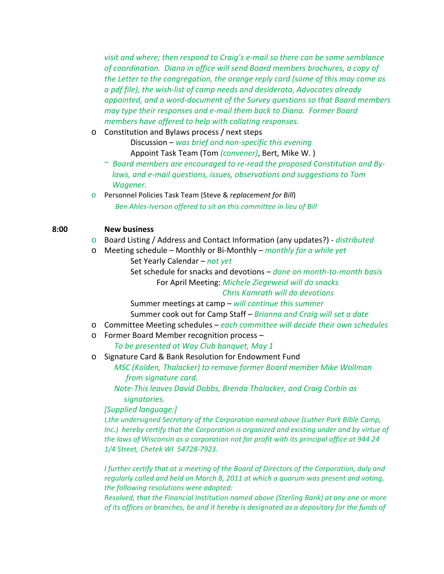*visit and where; then respond to Craig's e‐mail so there can be some semblance of coordination. Diana in office will send Board members brochures, a copy of the Letter to the congregation, the orange reply card (some of this may come as a pdf file), the wish‐list of camp needs and desiderata, Advocates already appointed, and a word‐document of the Survey questions so that Board members may type their responses and e‐mail them back to Diana. Former Board members have offered to help with collating responses.*

o Constitution and Bylaws process / next steps

Discussion – *was brief and non‐specific this evening* Appoint Task Team (Tom *(convener)*, Bert, Mike W. )

- ~ *Board members are encouraged to re‐read the proposed Constitution and By‐ laws, and e‐mail questions, issues, observations and suggestions to Tom Wagener.*
- o Personnel Policies Task Team (Steve & *replacement for Bill*)  *Ben Ahles‐Iverson offered to sit on this committee in lieu of Bill*

### **8:00 New business**

- o Board Listing / Address and Contact Information (any updates?) ‐ *distributed*
- o Meeting schedule Monthly or Bi‐Monthly *monthly for a while yet* Set Yearly Calendar – *not yet*

Set schedule for snacks and devotions – *done on month‐to‐month basis*

For April Meeting: *Michele Ziegeweid will do snacks*

*Chris Kamrath will do devotions*

Summer meetings at camp – *will continue this summer* Summer cook out for Camp Staff – *Brianna and Craig will set a date* 

- o Committee Meeting schedules *each committee will decide their own schedules*
- o Former Board Member recognition process –

 *To be presented at Way Club banquet, May 1*

o Signature Card & Bank Resolution for Endowment Fund

 *MSC (Kolden, Thalacker) to remove former Board member Mike Wollman from signature card.* 

 *Note‐This leaves David Dobbs, Brenda Thalacker, and Craig Corbin as signatories.*

*[Supplied language:]*

*I,the undersigned Secretary of the Corporation named above (Luther Park Bible Camp, Inc.) hereby certify that the Corporation is organized and existing under and by virtue of the laws of Wisconsin as a corporation not for profit with its principal office at 944 24 1/4 Street, Chetek WI 54728‐7923.*

*I further certify that at a meeting of the Board of Directors of the Corporation, duly and regularly called and held on March 8, 2011 at which a quorum was present and voting, the following resolutions were adopted:*

*Resolved, that the Financial Institution named above (Sterling Bank) at any one or more of its offices or branches, be and it hereby is designated as a depository for the funds of*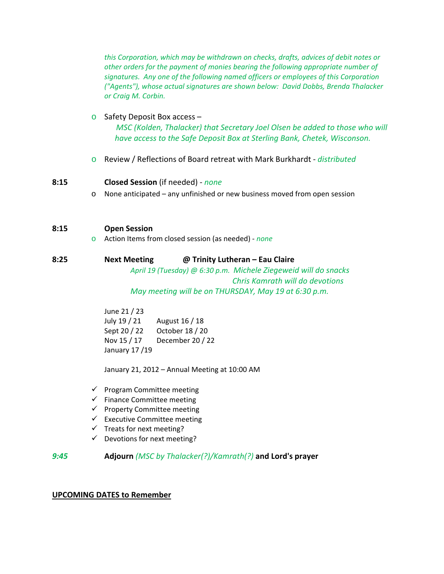*this Corporation, which may be withdrawn on checks, drafts, advices of debit notes or other orders for the payment of monies bearing the following appropriate number of signatures. Any one of the following named officers or employees of this Corporation ("Agents"), whose actual signatures are shown below: David Dobbs, Brenda Thalacker or Craig M. Corbin.*

## o Safety Deposit Box access –

 *MSC (Kolden, Thalacker) that Secretary Joel Olsen be added to those who will have access to the Safe Deposit Box at Sterling Bank, Chetek, Wisconson.* 

o Review / Reflections of Board retreat with Mark Burkhardt ‐ *distributed*

### **8:15 Closed Session** (if needed) ‐ *none*

o None anticipated – any unfinished or new business moved from open session

### **8:15 Open Session**

o Action Items from closed session (as needed) ‐ *none*

### **8:25 Next Meeting @ Trinity Lutheran – Eau Claire**

*April 19 (Tuesday) @ 6:30 p.m. Michele Ziegeweid will do snacks Chris Kamrath will do devotions May meeting will be on THURSDAY, May 19 at 6:30 p.m.*

 June 21 / 23 July 19 / 21 August 16 / 18 Sept 20 / 22 October 18 / 20 Nov 15 / 17 December 20 / 22 January 17 /19

January 21, 2012 – Annual Meeting at 10:00 AM

- $\checkmark$  Program Committee meeting
- $\checkmark$  Finance Committee meeting
- $\checkmark$  Property Committee meeting
- $\checkmark$  Executive Committee meeting
- $\checkmark$  Treats for next meeting?
- $\checkmark$  Devotions for next meeting?

## *9:45* **Adjourn** *(MSC by Thalacker(?)/Kamrath(?)* **and Lord's prayer**

### **UPCOMING DATES to Remember**